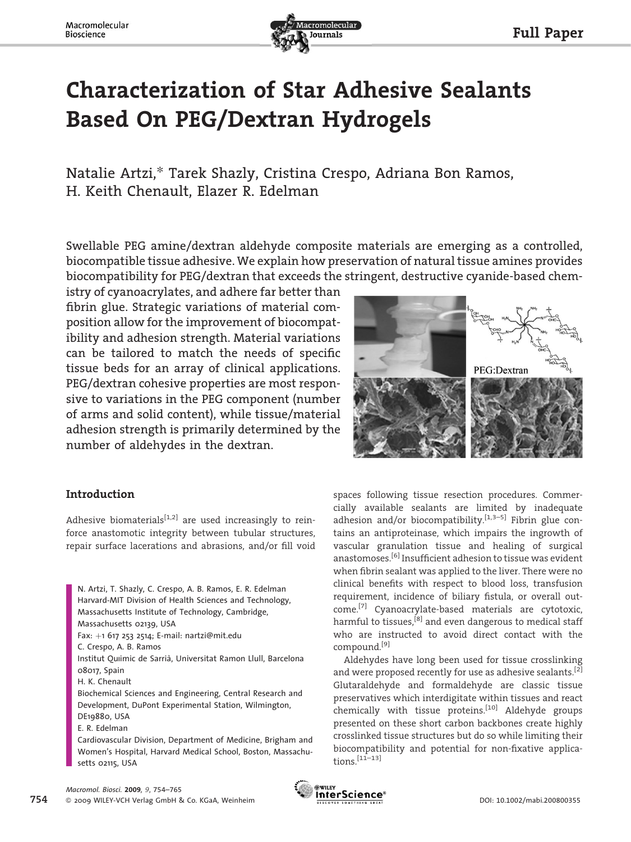

# Characterization of Star Adhesive Sealants Based On PEG/Dextran Hydrogels

Natalie Artzi,*\** Tarek Shazly, Cristina Crespo, Adriana Bon Ramos, H. Keith Chenault, Elazer R. Edelman

Swellable PEG amine/dextran aldehyde composite materials are emerging as a controlled, biocompatible tissue adhesive. We explain how preservation of natural tissue amines provides biocompatibility for PEG/dextran that exceeds the stringent, destructive cyanide-based chem-

istry of cyanoacrylates, and adhere far better than fibrin glue. Strategic variations of material composition allow for the improvement of biocompatibility and adhesion strength. Material variations can be tailored to match the needs of specific tissue beds for an array of clinical applications. PEG/dextran cohesive properties are most responsive to variations in the PEG component (number of arms and solid content), while tissue/material adhesion strength is primarily determined by the number of aldehydes in the dextran.

# Introduction

Adhesive biomaterials<sup>[1,2]</sup> are used increasingly to reinforce anastomotic integrity between tubular structures, repair surface lacerations and abrasions, and/or fill void

N. Artzi, T. Shazly, C. Crespo, A. B. Ramos, E. R. Edelman Harvard-MIT Division of Health Sciences and Technology, Massachusetts Institute of Technology, Cambridge, Massachusetts 02139, USA Fax: þ1 617 253 2514; E-mail: nartzi@mit.edu C. Crespo, A. B. Ramos Institut Ouiimic de Sarrià, Universitat Ramon Llull, Barcelona 08017, Spain H. K. Chenault Biochemical Sciences and Engineering, Central Research and Development, DuPont Experimental Station, Wilmington, DE19880, USA E. R. Edelman Cardiovascular Division, Department of Medicine, Brigham and

Women's Hospital, Harvard Medical School, Boston, Massachusetts 02115, USA



spaces following tissue resection procedures. Commercially available sealants are limited by inadequate adhesion and/or biocompatibility.<sup>[1,3-5]</sup> Fibrin glue contains an antiproteinase, which impairs the ingrowth of vascular granulation tissue and healing of surgical anastomoses.[6] Insufficient adhesion to tissue was evident when fibrin sealant was applied to the liver. There were no clinical benefits with respect to blood loss, transfusion requirement, incidence of biliary fistula, or overall outcome.[7] Cyanoacrylate-based materials are cytotoxic, harmful to tissues.<sup>[8]</sup> and even dangerous to medical staff who are instructed to avoid direct contact with the compound.[9]

Aldehydes have long been used for tissue crosslinking and were proposed recently for use as adhesive sealants.<sup>[2]</sup> Glutaraldehyde and formaldehyde are classic tissue preservatives which interdigitate within tissues and react chemically with tissue proteins.<sup>[10]</sup> Aldehyde groups presented on these short carbon backbones create highly crosslinked tissue structures but do so while limiting their biocompatibility and potential for non-fixative applica $tions.$ <sup>[11–13]</sup>

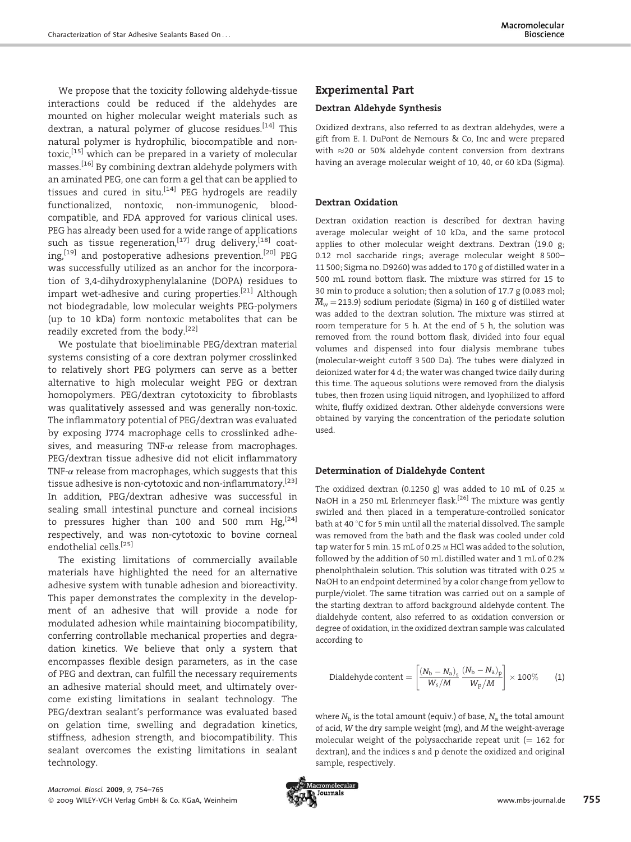We propose that the toxicity following aldehyde-tissue interactions could be reduced if the aldehydes are mounted on higher molecular weight materials such as dextran, a natural polymer of glucose residues.<sup>[14]</sup> This natural polymer is hydrophilic, biocompatible and nontoxic,[15] which can be prepared in a variety of molecular masses.[16] By combining dextran aldehyde polymers with an aminated PEG, one can form a gel that can be applied to tissues and cured in situ.<sup>[14]</sup> PEG hydrogels are readily functionalized, nontoxic, non-immunogenic, bloodcompatible, and FDA approved for various clinical uses. PEG has already been used for a wide range of applications such as tissue regeneration,  $[17]$  drug delivery,  $[18]$  coating,<sup>[19]</sup> and postoperative adhesions prevention.<sup>[20]</sup> PEG was successfully utilized as an anchor for the incorporation of 3,4-dihydroxyphenylalanine (DOPA) residues to impart wet-adhesive and curing properties.<sup>[21]</sup> Although not biodegradable, low molecular weights PEG-polymers (up to 10 kDa) form nontoxic metabolites that can be readily excreted from the body.[22]

We postulate that bioeliminable PEG/dextran material systems consisting of a core dextran polymer crosslinked to relatively short PEG polymers can serve as a better alternative to high molecular weight PEG or dextran homopolymers. PEG/dextran cytotoxicity to fibroblasts was qualitatively assessed and was generally non-toxic. The inflammatory potential of PEG/dextran was evaluated by exposing J774 macrophage cells to crosslinked adhesives, and measuring TNF- $\alpha$  release from macrophages. PEG/dextran tissue adhesive did not elicit inflammatory TNF- $\alpha$  release from macrophages, which suggests that this tissue adhesive is non-cytotoxic and non-inflammatory.[23] In addition, PEG/dextran adhesive was successful in sealing small intestinal puncture and corneal incisions to pressures higher than 100 and 500 mm  $Hg<sub>1</sub><sup>[24]</sup>$ respectively, and was non-cytotoxic to bovine corneal endothelial cells.[25]

The existing limitations of commercially available materials have highlighted the need for an alternative adhesive system with tunable adhesion and bioreactivity. This paper demonstrates the complexity in the development of an adhesive that will provide a node for modulated adhesion while maintaining biocompatibility, conferring controllable mechanical properties and degradation kinetics. We believe that only a system that encompasses flexible design parameters, as in the case of PEG and dextran, can fulfill the necessary requirements an adhesive material should meet, and ultimately overcome existing limitations in sealant technology. The PEG/dextran sealant's performance was evaluated based on gelation time, swelling and degradation kinetics, stiffness, adhesion strength, and biocompatibility. This sealant overcomes the existing limitations in sealant technology.

## Experimental Part

### Dextran Aldehyde Synthesis

Oxidized dextrans, also referred to as dextran aldehydes, were a gift from E. I. DuPont de Nemours & Co, Inc and were prepared with  $\approx$  20 or 50% aldehyde content conversion from dextrans having an average molecular weight of 10, 40, or 60 kDa (Sigma).

## Dextran Oxidation

Dextran oxidation reaction is described for dextran having average molecular weight of 10 kDa, and the same protocol applies to other molecular weight dextrans. Dextran (19.0 g; 0.12 mol saccharide rings; average molecular weight 8 500– 11 500; Sigma no. D9260) was added to 170 g of distilled water in a 500 mL round bottom flask. The mixture was stirred for 15 to 30 min to produce a solution; then a solution of 17.7 g (0.083 mol;  $\overline{M}_{\mathrm{w}}$  = 213.9) sodium periodate (Sigma) in 160 g of distilled water was added to the dextran solution. The mixture was stirred at room temperature for 5 h. At the end of 5 h, the solution was removed from the round bottom flask, divided into four equal volumes and dispensed into four dialysis membrane tubes (molecular-weight cutoff 3 500 Da). The tubes were dialyzed in deionized water for 4 d; the water was changed twice daily during this time. The aqueous solutions were removed from the dialysis tubes, then frozen using liquid nitrogen, and lyophilized to afford white, fluffy oxidized dextran. Other aldehyde conversions were obtained by varying the concentration of the periodate solution used.

#### Determination of Dialdehyde Content

The oxidized dextran (0.1250 g) was added to 10 mL of 0.25 <sup>M</sup> NaOH in a 250 mL Erlenmeyer flask.<sup>[26]</sup> The mixture was gently swirled and then placed in a temperature-controlled sonicator bath at 40 $\degree$ C for 5 min until all the material dissolved. The sample was removed from the bath and the flask was cooled under cold tap water for 5 min. 15 mL of 0.25 <sub>M</sub> HCl was added to the solution, followed by the addition of 50 mL distilled water and 1 mL of 0.2% phenolphthalein solution. This solution was titrated with 0.25 <sup>M</sup> NaOH to an endpoint determined by a color change from yellow to purple/violet. The same titration was carried out on a sample of the starting dextran to afford background aldehyde content. The dialdehyde content, also referred to as oxidation conversion or degree of oxidation, in the oxidized dextran sample was calculated according to

$$
\text{Dialdehyde content} = \left[\frac{(N_{\text{b}}-N_{\text{a}})_{\text{s}}}{W_{\text{s}}/M}\frac{(N_{\text{b}}-N_{\text{a}})_{\text{p}}}{W_{\text{p}}/M}\right] \times 100\% \qquad (1)
$$

where  $N_b$  is the total amount (equiv.) of base,  $N_a$  the total amount of acid, W the dry sample weight (mg), and M the weight-average molecular weight of the polysaccharide repeat unit  $(= 162$  for dextran), and the indices s and p denote the oxidized and original sample, respectively.

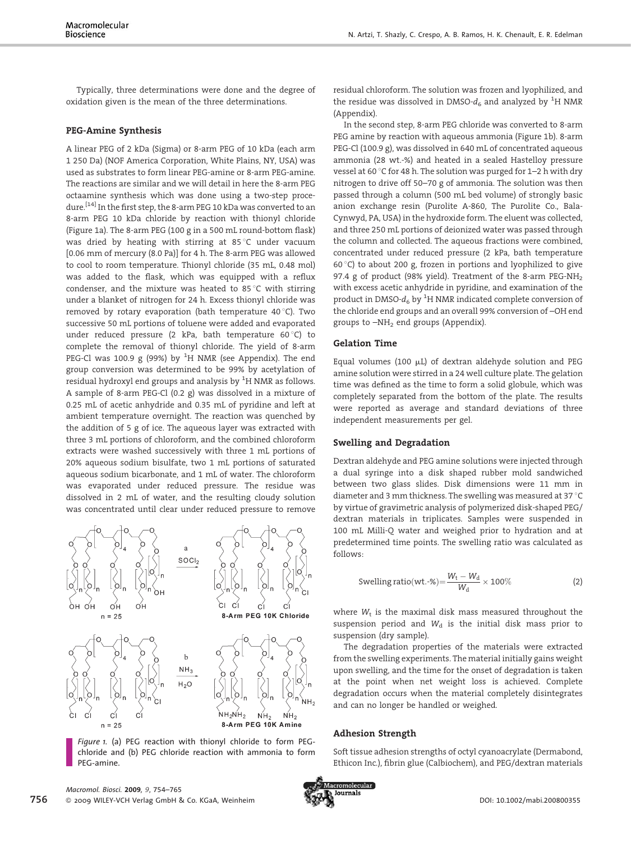Typically, three determinations were done and the degree of oxidation given is the mean of the three determinations.

#### PEG-Amine Synthesis

A linear PEG of 2 kDa (Sigma) or 8-arm PEG of 10 kDa (each arm 1 250 Da) (NOF America Corporation, White Plains, NY, USA) was used as substrates to form linear PEG-amine or 8-arm PEG-amine. The reactions are similar and we will detail in here the 8-arm PEG octaamine synthesis which was done using a two-step procedure.[14] In the first step, the 8-arm PEG 10 kDa was converted to an 8-arm PEG 10 kDa chloride by reaction with thionyl chloride (Figure 1a). The 8-arm PEG (100 g in a 500 mL round-bottom flask) was dried by heating with stirring at  $85^{\circ}$ C under vacuum [0.06 mm of mercury (8.0 Pa)] for 4 h. The 8-arm PEG was allowed to cool to room temperature. Thionyl chloride (35 mL, 0.48 mol) was added to the flask, which was equipped with a reflux condenser, and the mixture was heated to 85 $\degree$ C with stirring under a blanket of nitrogen for 24 h. Excess thionyl chloride was removed by rotary evaporation (bath temperature 40 $\degree$ C). Two successive 50 mL portions of toluene were added and evaporated under reduced pressure (2 kPa, bath temperature  $60^{\circ}$ C) to complete the removal of thionyl chloride. The yield of 8-arm PEG-Cl was 100.9 g (99%) by  ${}^{1}$ H NMR (see Appendix). The end group conversion was determined to be 99% by acetylation of residual hydroxyl end groups and analysis by  $^{\rm 1}$ H NMR as follows. A sample of 8-arm PEG-Cl (0.2 g) was dissolved in a mixture of 0.25 mL of acetic anhydride and 0.35 mL of pyridine and left at ambient temperature overnight. The reaction was quenched by the addition of 5 g of ice. The aqueous layer was extracted with three 3 mL portions of chloroform, and the combined chloroform extracts were washed successively with three 1 mL portions of 20% aqueous sodium bisulfate, two 1 mL portions of saturated aqueous sodium bicarbonate, and 1 mL of water. The chloroform was evaporated under reduced pressure. The residue was dissolved in 2 mL of water, and the resulting cloudy solution was concentrated until clear under reduced pressure to remove



Figure 1. (a) PEG reaction with thionyl chloride to form PEGchloride and (b) PEG chloride reaction with ammonia to form PEG-amine.

In the second step, 8-arm PEG chloride was converted to 8-arm PEG amine by reaction with aqueous ammonia (Figure 1b). 8-arm PEG-Cl (100.9 g), was dissolved in 640 mL of concentrated aqueous ammonia (28 wt.-%) and heated in a sealed Hastelloy pressure vessel at 60 $\degree$ C for 48 h. The solution was purged for 1–2 h with dry nitrogen to drive off 50–70 g of ammonia. The solution was then passed through a column (500 mL bed volume) of strongly basic anion exchange resin (Purolite A-860, The Purolite Co., Bala-Cynwyd, PA, USA) in the hydroxide form. The eluent was collected, and three 250 mL portions of deionized water was passed through the column and collected. The aqueous fractions were combined, concentrated under reduced pressure (2 kPa, bath temperature 60 $^{\circ}$ C) to about 200 g, frozen in portions and lyophilized to give 97.4 g of product (98% yield). Treatment of the 8-arm PEG-NH<sub>2</sub> with excess acetic anhydride in pyridine, and examination of the product in DMSO- $d_6$  by  $^1\mathrm{H}$  NMR indicated complete conversion of the chloride end groups and an overall 99% conversion of –OH end groups to  $-NH<sub>2</sub>$  end groups (Appendix).

#### Gelation Time

Equal volumes (100  $\mu$ L) of dextran aldehyde solution and PEG amine solution were stirred in a 24 well culture plate. The gelation time was defined as the time to form a solid globule, which was completely separated from the bottom of the plate. The results were reported as average and standard deviations of three independent measurements per gel.

#### Swelling and Degradation

Dextran aldehyde and PEG amine solutions were injected through a dual syringe into a disk shaped rubber mold sandwiched between two glass slides. Disk dimensions were 11 mm in diameter and 3 mm thickness. The swelling was measured at 37 °C by virtue of gravimetric analysis of polymerized disk-shaped PEG/ dextran materials in triplicates. Samples were suspended in 100 mL Milli-Q water and weighed prior to hydration and at predetermined time points. The swelling ratio was calculated as follows:

Swelling ratio(wt.-%)=
$$
\frac{W_t - W_d}{W_d} \times 100\%
$$
 (2)

where  $W_t$  is the maximal disk mass measured throughout the suspension period and  $W_d$  is the initial disk mass prior to suspension (dry sample).

The degradation properties of the materials were extracted from the swelling experiments. The material initially gains weight upon swelling, and the time for the onset of degradation is taken at the point when net weight loss is achieved. Complete degradation occurs when the material completely disintegrates and can no longer be handled or weighed.

#### Adhesion Strength

Soft tissue adhesion strengths of octyl cyanoacrylate (Dermabond, Ethicon Inc.), fibrin glue (Calbiochem), and PEG/dextran materials

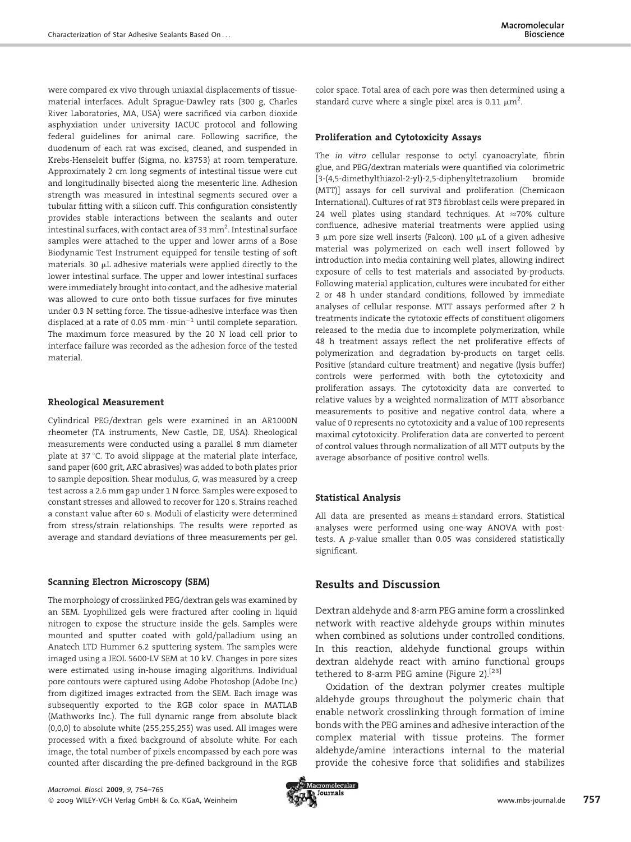were compared ex vivo through uniaxial displacements of tissuematerial interfaces. Adult Sprague-Dawley rats (300 g, Charles River Laboratories, MA, USA) were sacrificed via carbon dioxide asphyxiation under university IACUC protocol and following federal guidelines for animal care. Following sacrifice, the duodenum of each rat was excised, cleaned, and suspended in Krebs-Henseleit buffer (Sigma, no. k3753) at room temperature. Approximately 2 cm long segments of intestinal tissue were cut and longitudinally bisected along the mesenteric line. Adhesion strength was measured in intestinal segments secured over a tubular fitting with a silicon cuff. This configuration consistently provides stable interactions between the sealants and outer intestinal surfaces, with contact area of 33  $\mathrm{mm}^2$ . Intestinal surface samples were attached to the upper and lower arms of a Bose Biodynamic Test Instrument equipped for tensile testing of soft materials. 30  $\mu$ L adhesive materials were applied directly to the lower intestinal surface. The upper and lower intestinal surfaces were immediately brought into contact, and the adhesive material was allowed to cure onto both tissue surfaces for five minutes under 0.3 N setting force. The tissue-adhesive interface was then displaced at a rate of 0.05 mm $\cdot$ min $^{-1}$  until complete separation. The maximum force measured by the 20 N load cell prior to interface failure was recorded as the adhesion force of the tested material.

## Rheological Measurement

Cylindrical PEG/dextran gels were examined in an AR1000N rheometer (TA instruments, New Castle, DE, USA). Rheological measurements were conducted using a parallel 8 mm diameter plate at  $37^{\circ}$ C. To avoid slippage at the material plate interface, sand paper (600 grit, ARC abrasives) was added to both plates prior to sample deposition. Shear modulus, G, was measured by a creep test across a 2.6 mm gap under 1 N force. Samples were exposed to constant stresses and allowed to recover for 120 s. Strains reached a constant value after 60 s. Moduli of elasticity were determined from stress/strain relationships. The results were reported as average and standard deviations of three measurements per gel.

## Scanning Electron Microscopy (SEM)

The morphology of crosslinked PEG/dextran gels was examined by an SEM. Lyophilized gels were fractured after cooling in liquid nitrogen to expose the structure inside the gels. Samples were mounted and sputter coated with gold/palladium using an Anatech LTD Hummer 6.2 sputtering system. The samples were imaged using a JEOL 5600-LV SEM at 10 kV. Changes in pore sizes were estimated using in-house imaging algorithms. Individual pore contours were captured using Adobe Photoshop (Adobe Inc.) from digitized images extracted from the SEM. Each image was subsequently exported to the RGB color space in MATLAB (Mathworks Inc.). The full dynamic range from absolute black (0,0,0) to absolute white (255,255,255) was used. All images were processed with a fixed background of absolute white. For each image, the total number of pixels encompassed by each pore was counted after discarding the pre-defined background in the RGB



## Proliferation and Cytotoxicity Assays

The in vitro cellular response to octyl cyanoacrylate, fibrin glue, and PEG/dextran materials were quantified via colorimetric [3-(4,5-dimethylthiazol-2-yl)-2,5-diphenyltetrazolium bromide (MTT)] assays for cell survival and proliferation (Chemicaon International). Cultures of rat 3T3 fibroblast cells were prepared in 24 well plates using standard techniques. At  $\approx$ 70% culture confluence, adhesive material treatments were applied using 3  $\mu$ m pore size well inserts (Falcon). 100  $\mu$ L of a given adhesive material was polymerized on each well insert followed by introduction into media containing well plates, allowing indirect exposure of cells to test materials and associated by-products. Following material application, cultures were incubated for either 2 or 48 h under standard conditions, followed by immediate analyses of cellular response. MTT assays performed after 2 h treatments indicate the cytotoxic effects of constituent oligomers released to the media due to incomplete polymerization, while 48 h treatment assays reflect the net proliferative effects of polymerization and degradation by-products on target cells. Positive (standard culture treatment) and negative (lysis buffer) controls were performed with both the cytotoxicity and proliferation assays. The cytotoxicity data are converted to relative values by a weighted normalization of MTT absorbance measurements to positive and negative control data, where a value of 0 represents no cytotoxicity and a value of 100 represents maximal cytotoxicity. Proliferation data are converted to percent of control values through normalization of all MTT outputs by the average absorbance of positive control wells.

## Statistical Analysis

All data are presented as means  $\pm$  standard errors. Statistical analyses were performed using one-way ANOVA with posttests. A p-value smaller than 0.05 was considered statistically significant.

# Results and Discussion

Dextran aldehyde and 8-arm PEG amine form a crosslinked network with reactive aldehyde groups within minutes when combined as solutions under controlled conditions. In this reaction, aldehyde functional groups within dextran aldehyde react with amino functional groups tethered to 8-arm PEG amine (Figure 2).<sup>[23]</sup>

Oxidation of the dextran polymer creates multiple aldehyde groups throughout the polymeric chain that enable network crosslinking through formation of imine bonds with the PEG amines and adhesive interaction of the complex material with tissue proteins. The former aldehyde/amine interactions internal to the material provide the cohesive force that solidifies and stabilizes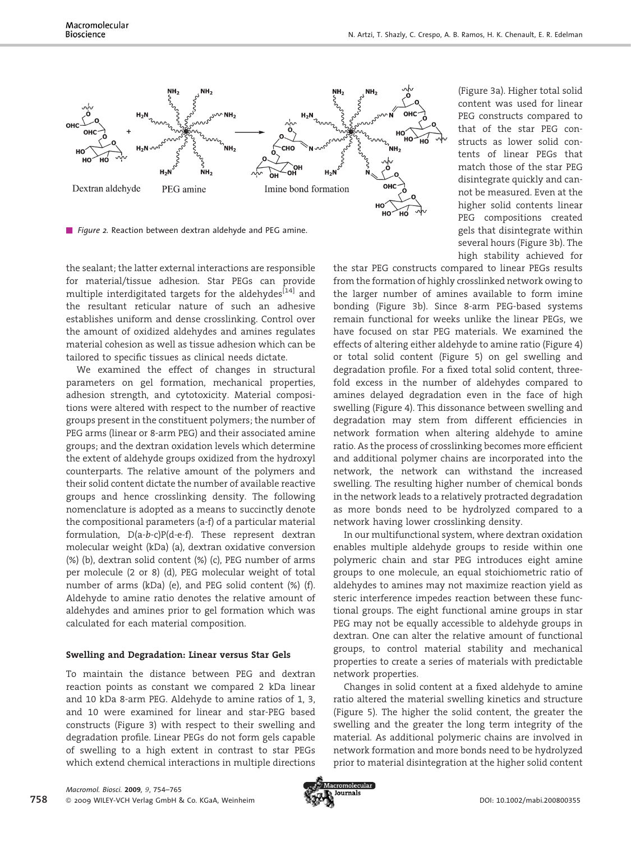

Figure 2. Reaction between dextran aldehyde and PEG amine.

the sealant; the latter external interactions are responsible for material/tissue adhesion. Star PEGs can provide multiple interdigitated targets for the aldehydes<sup>[14]</sup> and the resultant reticular nature of such an adhesive establishes uniform and dense crosslinking. Control over the amount of oxidized aldehydes and amines regulates material cohesion as well as tissue adhesion which can be tailored to specific tissues as clinical needs dictate.

We examined the effect of changes in structural parameters on gel formation, mechanical properties, adhesion strength, and cytotoxicity. Material compositions were altered with respect to the number of reactive groups present in the constituent polymers; the number of PEG arms (linear or 8-arm PEG) and their associated amine groups; and the dextran oxidation levels which determine the extent of aldehyde groups oxidized from the hydroxyl counterparts. The relative amount of the polymers and their solid content dictate the number of available reactive groups and hence crosslinking density. The following nomenclature is adopted as a means to succinctly denote the compositional parameters (a-f) of a particular material formulation, D(a-b-c)P(d-e-f). These represent dextran molecular weight (kDa) (a), dextran oxidative conversion (%) (b), dextran solid content (%) (c), PEG number of arms per molecule (2 or 8) (d), PEG molecular weight of total number of arms (kDa) (e), and PEG solid content (%) (f). Aldehyde to amine ratio denotes the relative amount of aldehydes and amines prior to gel formation which was calculated for each material composition.

## Swelling and Degradation: Linear versus Star Gels

To maintain the distance between PEG and dextran reaction points as constant we compared 2 kDa linear and 10 kDa 8-arm PEG. Aldehyde to amine ratios of 1, 3, and 10 were examined for linear and star-PEG based constructs (Figure 3) with respect to their swelling and degradation profile. Linear PEGs do not form gels capable of swelling to a high extent in contrast to star PEGs which extend chemical interactions in multiple directions

(Figure 3a). Higher total solid content was used for linear PEG constructs compared to that of the star PEG constructs as lower solid contents of linear PEGs that match those of the star PEG disintegrate quickly and cannot be measured. Even at the higher solid contents linear PEG compositions created gels that disintegrate within several hours (Figure 3b). The high stability achieved for

the star PEG constructs compared to linear PEGs results from the formation of highly crosslinked network owing to the larger number of amines available to form imine bonding (Figure 3b). Since 8-arm PEG-based systems remain functional for weeks unlike the linear PEGs, we have focused on star PEG materials. We examined the effects of altering either aldehyde to amine ratio (Figure 4) or total solid content (Figure 5) on gel swelling and degradation profile. For a fixed total solid content, threefold excess in the number of aldehydes compared to amines delayed degradation even in the face of high swelling (Figure 4). This dissonance between swelling and degradation may stem from different efficiencies in network formation when altering aldehyde to amine ratio. As the process of crosslinking becomes more efficient and additional polymer chains are incorporated into the network, the network can withstand the increased swelling. The resulting higher number of chemical bonds in the network leads to a relatively protracted degradation as more bonds need to be hydrolyzed compared to a network having lower crosslinking density.

In our multifunctional system, where dextran oxidation enables multiple aldehyde groups to reside within one polymeric chain and star PEG introduces eight amine groups to one molecule, an equal stoichiometric ratio of aldehydes to amines may not maximize reaction yield as steric interference impedes reaction between these functional groups. The eight functional amine groups in star PEG may not be equally accessible to aldehyde groups in dextran. One can alter the relative amount of functional groups, to control material stability and mechanical properties to create a series of materials with predictable network properties.

Changes in solid content at a fixed aldehyde to amine ratio altered the material swelling kinetics and structure (Figure 5). The higher the solid content, the greater the swelling and the greater the long term integrity of the material. As additional polymeric chains are involved in network formation and more bonds need to be hydrolyzed prior to material disintegration at the higher solid content

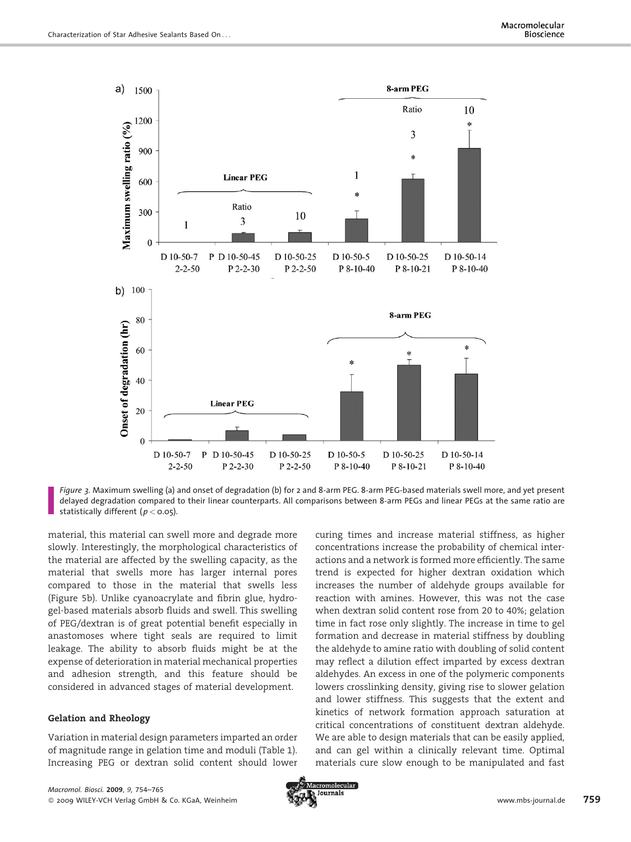

Figure 3. Maximum swelling (a) and onset of degradation (b) for 2 and 8-arm PEG. 8-arm PEG-based materials swell more, and yet present delayed degradation compared to their linear counterparts. All comparisons between 8-arm PEGs and linear PEGs at the same ratio are statistically different ( $p <$  0.05).

material, this material can swell more and degrade more slowly. Interestingly, the morphological characteristics of the material are affected by the swelling capacity, as the material that swells more has larger internal pores compared to those in the material that swells less (Figure 5b). Unlike cyanoacrylate and fibrin glue, hydrogel-based materials absorb fluids and swell. This swelling of PEG/dextran is of great potential benefit especially in anastomoses where tight seals are required to limit leakage. The ability to absorb fluids might be at the expense of deterioration in material mechanical properties and adhesion strength, and this feature should be considered in advanced stages of material development.

## Gelation and Rheology

Variation in material design parameters imparted an order of magnitude range in gelation time and moduli (Table 1). Increasing PEG or dextran solid content should lower curing times and increase material stiffness, as higher concentrations increase the probability of chemical interactions and a network is formed more efficiently. The same trend is expected for higher dextran oxidation which increases the number of aldehyde groups available for reaction with amines. However, this was not the case when dextran solid content rose from 20 to 40%; gelation time in fact rose only slightly. The increase in time to gel formation and decrease in material stiffness by doubling the aldehyde to amine ratio with doubling of solid content may reflect a dilution effect imparted by excess dextran aldehydes. An excess in one of the polymeric components lowers crosslinking density, giving rise to slower gelation and lower stiffness. This suggests that the extent and kinetics of network formation approach saturation at critical concentrations of constituent dextran aldehyde. We are able to design materials that can be easily applied, and can gel within a clinically relevant time. Optimal materials cure slow enough to be manipulated and fast

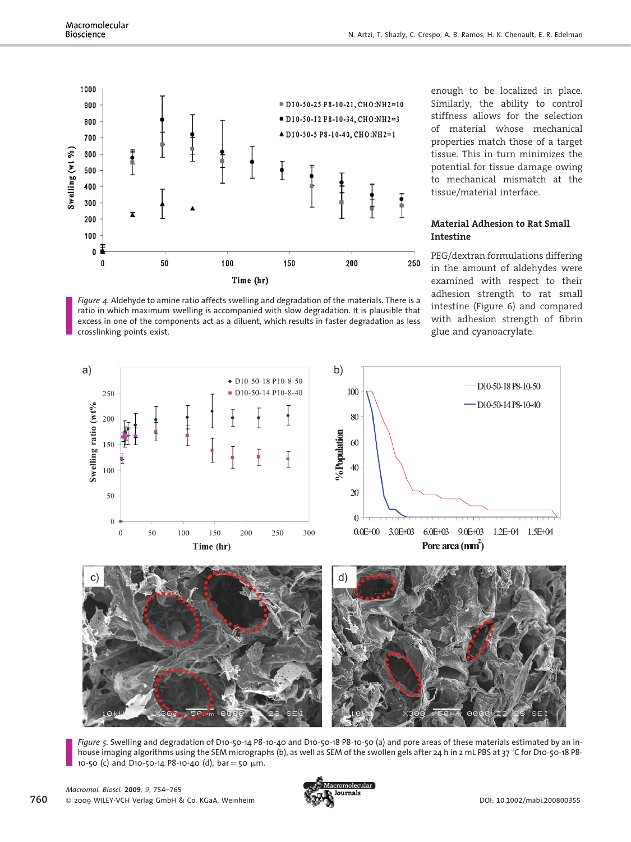

Figure 4. Aldehyde to amine ratio affects swelling and degradation of the materials. There is a ratio in which maximum swelling is accompanied with slow degradation. It is plausible that excess in one of the components act as a diluent, which results in faster degradation as less crosslinking points exist.

enough to be localized in place. Similarly, the ability to control stiffness allows for the selection of material whose mechanical properties match those of a target tissue. This in turn minimizes the potential for tissue damage owing to mechanical mismatch at the tissue/material interface.

## Material Adhesion to Rat Small Intestine

PEG/dextran formulations differing in the amount of aldehydes were examined with respect to their adhesion strength to rat small intestine (Figure 6) and compared with adhesion strength of fibrin glue and cyanoacrylate.



Figure 5. Swelling and degradation of D10-50-14 P8-10-40 and D10-50-18 P8-10-50 (a) and pore areas of these materials estimated by an inhouse imaging algorithms using the SEM micrographs (b), as well as SEM of the swollen gels after 24 h in 2 mL PBS at 37 °C for D10-50-18 P8-10-50 (c) and D10-50-14 P8-10-40 (d),  $bar = 50 \mu m$ .

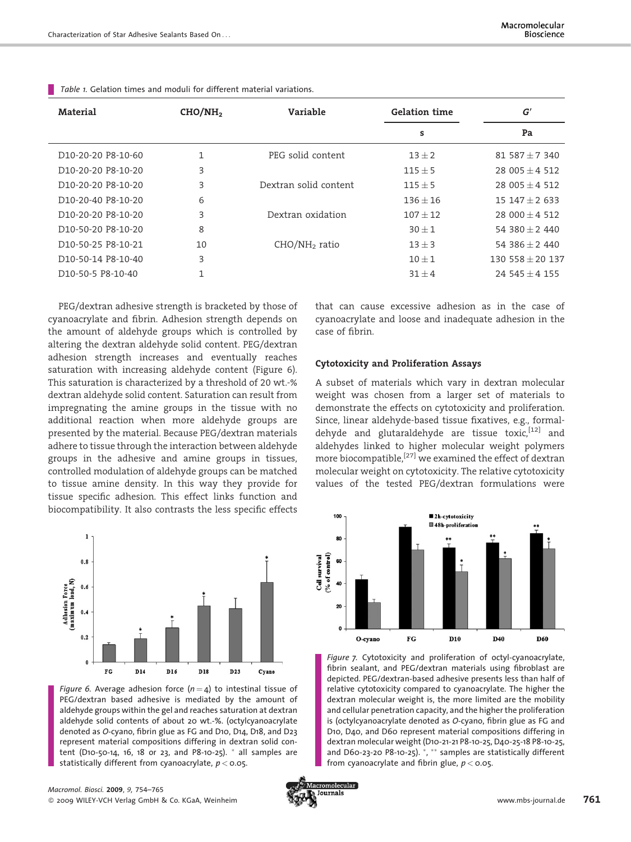| Material                                     | CHO/NH <sub>2</sub> | Variable              | <b>Gelation time</b> | G'                 |
|----------------------------------------------|---------------------|-----------------------|----------------------|--------------------|
|                                              |                     |                       | s                    | Pa                 |
| D <sub>10</sub> -20-20 P <sub>8</sub> -10-60 |                     | PEG solid content     | $13 + 2$             | $81587 + 7340$     |
| D <sub>10</sub> -20-20 P <sub>8</sub> -10-20 | 3                   |                       | $115 \pm 5$          | 28 005 $\pm$ 4 512 |
| D10-20-20 P8-10-20                           | 3                   | Dextran solid content | $115 + 5$            | $28005 + 4512$     |
| D <sub>10</sub> -20-40 P <sub>8</sub> -10-20 | 6                   |                       | $136 + 16$           | $15147 + 2633$     |
| D <sub>10</sub> -20-20 P <sub>8</sub> -10-20 | 3                   | Dextran oxidation     | $107 + 12$           | $28000 + 4512$     |
| D <sub>10</sub> -50-20 P <sub>8</sub> -10-20 | 8                   |                       | $30 + 1$             | 54 380 + 2 440     |
| D10-50-25 P8-10-21                           | 10                  | $CHO/NH2$ ratio       | $13 + 3$             | 54 386 + 2 440     |
| D <sub>10</sub> -50-14 P8-10-40              | 3                   |                       | $10 + 1$             | $130558 + 20137$   |
| D <sub>10</sub> -50-5 P8-10-40               |                     |                       | $31 + 4$             | $245 + 4155$       |
|                                              |                     |                       |                      |                    |

Table 1. Gelation times and moduli for different material variations.

PEG/dextran adhesive strength is bracketed by those of cyanoacrylate and fibrin. Adhesion strength depends on the amount of aldehyde groups which is controlled by altering the dextran aldehyde solid content. PEG/dextran adhesion strength increases and eventually reaches saturation with increasing aldehyde content (Figure 6). This saturation is characterized by a threshold of 20 wt.-% dextran aldehyde solid content. Saturation can result from impregnating the amine groups in the tissue with no additional reaction when more aldehyde groups are presented by the material. Because PEG/dextran materials adhere to tissue through the interaction between aldehyde groups in the adhesive and amine groups in tissues, controlled modulation of aldehyde groups can be matched to tissue amine density. In this way they provide for tissue specific adhesion. This effect links function and biocompatibility. It also contrasts the less specific effects



Figure 6. Average adhesion force  $(n = 4)$  to intestinal tissue of PEG/dextran based adhesive is mediated by the amount of aldehyde groups within the gel and reaches saturation at dextran aldehyde solid contents of about 20 wt.-%. (octylcyanoacrylate denoted as O-cyano, fibrin glue as FG and D10, D14, D18, and D23 represent material compositions differing in dextran solid content (D10-50-14, 16, 18 or 23, and P8-10-25).  $*$  all samples are statistically different from cyanoacrylate,  $p <$  0.05.

that can cause excessive adhesion as in the case of cyanoacrylate and loose and inadequate adhesion in the case of fibrin.

## Cytotoxicity and Proliferation Assays

A subset of materials which vary in dextran molecular weight was chosen from a larger set of materials to demonstrate the effects on cytotoxicity and proliferation. Since, linear aldehyde-based tissue fixatives, e.g., formaldehyde and glutaraldehyde are tissue toxic, [12] and aldehydes linked to higher molecular weight polymers more biocompatible,<sup>[27]</sup> we examined the effect of dextran molecular weight on cytotoxicity. The relative cytotoxicity values of the tested PEG/dextran formulations were



Figure 7. Cytotoxicity and proliferation of octyl-cyanoacrylate, fibrin sealant, and PEG/dextran materials using fibroblast are depicted. PEG/dextran-based adhesive presents less than half of relative cytotoxicity compared to cyanoacrylate. The higher the dextran molecular weight is, the more limited are the mobility and cellular penetration capacity, and the higher the proliferation is (octylcyanoacrylate denoted as O-cyano, fibrin glue as FG and D10, D40, and D60 represent material compositions differing in dextran molecular weight (D10-21-21 P8-10-25, D40-25-18 P8-10-25, and D60-23-20 P8-10-25).  $\overset{*}{\vphantom{a}}\,$ ,  $\overset{**}{\vphantom{a}}\,$  samples are statistically different from cyanoacrylate and fibrin glue,  $p <$  0.05.

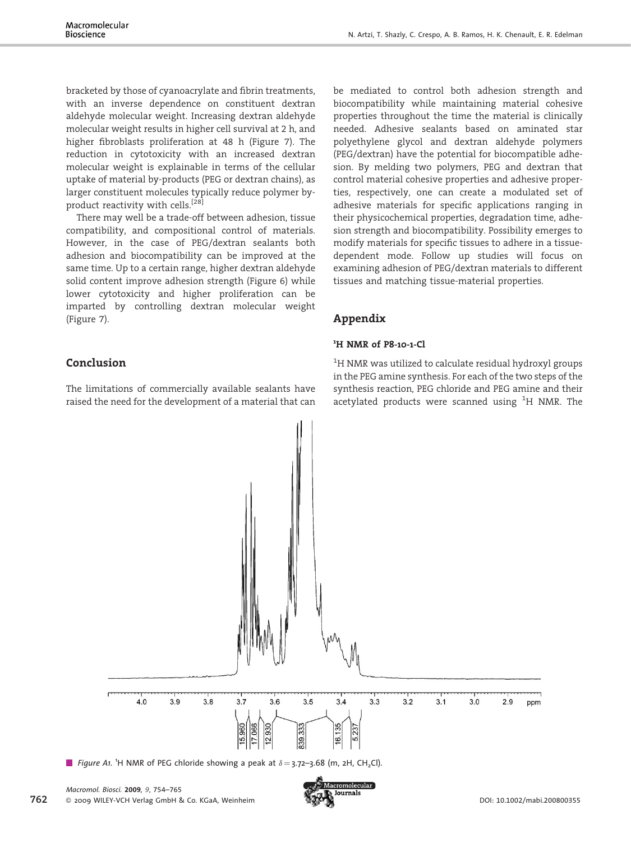bracketed by those of cyanoacrylate and fibrin treatments, with an inverse dependence on constituent dextran aldehyde molecular weight. Increasing dextran aldehyde molecular weight results in higher cell survival at 2 h, and higher fibroblasts proliferation at 48 h (Figure 7). The reduction in cytotoxicity with an increased dextran molecular weight is explainable in terms of the cellular uptake of material by-products (PEG or dextran chains), as larger constituent molecules typically reduce polymer byproduct reactivity with cells.[28]

There may well be a trade-off between adhesion, tissue compatibility, and compositional control of materials. However, in the case of PEG/dextran sealants both adhesion and biocompatibility can be improved at the same time. Up to a certain range, higher dextran aldehyde solid content improve adhesion strength (Figure 6) while lower cytotoxicity and higher proliferation can be imparted by controlling dextran molecular weight (Figure 7).

be mediated to control both adhesion strength and biocompatibility while maintaining material cohesive properties throughout the time the material is clinically needed. Adhesive sealants based on aminated star polyethylene glycol and dextran aldehyde polymers (PEG/dextran) have the potential for biocompatible adhesion. By melding two polymers, PEG and dextran that control material cohesive properties and adhesive properties, respectively, one can create a modulated set of adhesive materials for specific applications ranging in their physicochemical properties, degradation time, adhesion strength and biocompatibility. Possibility emerges to modify materials for specific tissues to adhere in a tissuedependent mode. Follow up studies will focus on examining adhesion of PEG/dextran materials to different tissues and matching tissue-material properties.

# Appendix

# <sup>1</sup>H NMR of P8-10-1-Cl

Conclusion

The limitations of commercially available sealants have raised the need for the development of a material that can

 $^{\rm 1}$ H NMR was utilized to calculate residual hydroxyl groups in the PEG amine synthesis. For each of the two steps of the synthesis reaction, PEG chloride and PEG amine and their acetylated products were scanned using  $^1\mathrm{H}$  NMR. The



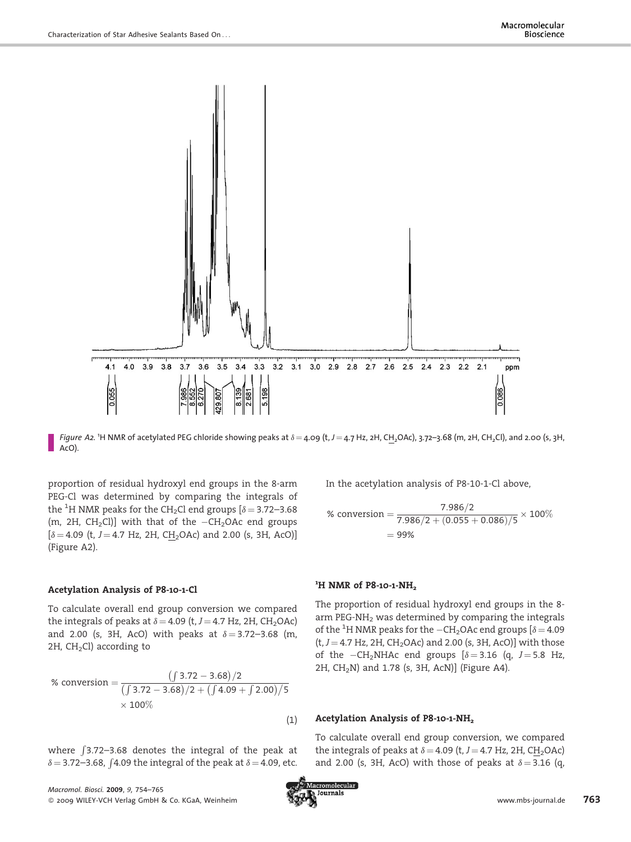

*Figure A2.* 'H NMR of acetylated PEG chloride showing peaks at  $\delta = 4.09$  (t, J  $= 4.7$  Hz, 2H, CH<sub>2</sub>OAc), 3.72–3.68 (m, 2H, CH<sub>2</sub>Cl), and 2.00 (s, 3H, AcO).

proportion of residual hydroxyl end groups in the 8-arm PEG-Cl was determined by comparing the integrals of the <sup>1</sup>H NMR peaks for the CH<sub>2</sub>Cl end groups [ $\delta$  = 3.72–3.68 (m, 2H,  $CH_2Cl$ )] with that of the  $-CH_2OAc$  end groups  $[\delta = 4.09$  (t, J = 4.7 Hz, 2H, CH<sub>2</sub>OAc) and 2.00 (s, 3H, AcO)] (Figure A2).

## Acetylation Analysis of P8-10-1-Cl

To calculate overall end group conversion we compared the integrals of peaks at  $\delta = 4.09$  (t,  $J = 4.7$  Hz, 2H, CH<sub>2</sub>OAc) and 2.00 (s, 3H, AcO) with peaks at  $\delta = 3.72 - 3.68$  (m,  $2H$ ,  $CH<sub>2</sub>Cl$ ) according to

% conversion = 
$$
\frac{(3.72 - 3.68)/2}{(3.72 - 3.68)/2 + (1.09 + 2.00)/5}
$$

$$
\times 100\%
$$
 (1)

where f3.72–3.68 denotes the integral of the peak at  $\delta = 3.72 - 3.68$ ,  $\int$ 4.09 the integral of the peak at  $\delta = 4.09$ , etc.

Macromol. Biosci. 2009, 9, 754–765  $\alpha$  2009 WILEY-VCH Verlag GmbH & Co. KGaA, Weinheim www.mbs-journals www.mbs-journal.de 763

In the acetylation analysis of P8-10-1-Cl above,

% conversion = 
$$
\frac{7.986/2}{7.986/2 + (0.055 + 0.086)/5} \times 100\%
$$

$$
= 99\%
$$

# <sup>1</sup>H NMR of P8-10-1-NH<sub>2</sub>

The proportion of residual hydroxyl end groups in the 8 arm PEG-NH<sub>2</sub> was determined by comparing the integrals of the  $^1\mathrm{H}$  NMR peaks for the  $-\mathrm{CH}_2$ OAc end groups [ $\delta\!=\!4.09$  $(t, J = 4.7$  Hz, 2H, CH<sub>2</sub>OAc) and 2.00 (s, 3H, AcO)] with those of the  $-CH_2NHAC$  end groups  $\delta = 3.16$  (q,  $J = 5.8$  Hz, 2H,  $CH<sub>2</sub>N$ ) and 1.78 (s, 3H, AcN)] (Figure A4).

## Acetylation Analysis of P8-10-1-NH<sub>2</sub>

To calculate overall end group conversion, we compared the integrals of peaks at  $\delta = 4.09$  (t,  $J = 4.7$  Hz, 2H, CH<sub>2</sub>OAc) and 2.00 (s, 3H, AcO) with those of peaks at  $\delta = 3.16$  (q,

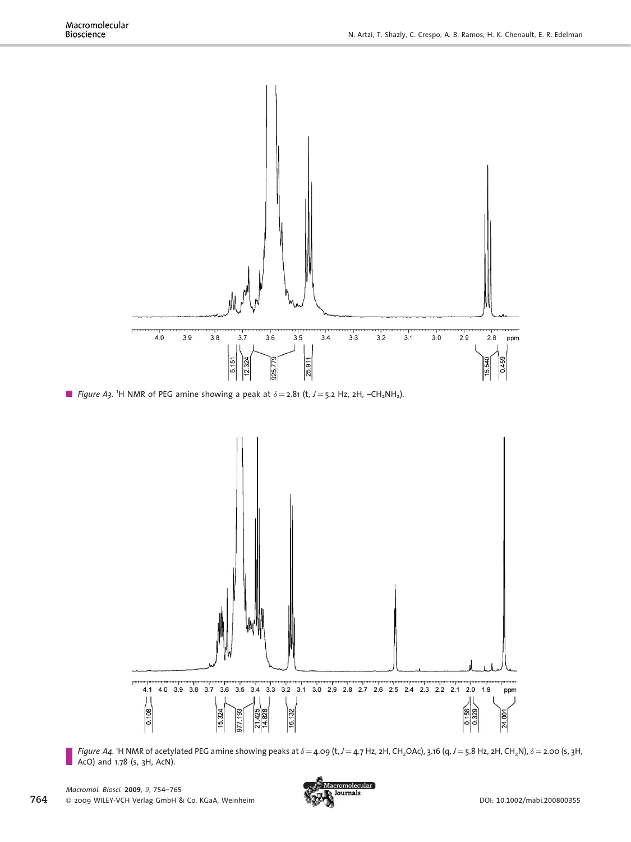

```
Figure A3. <sup>1</sup>H NMR of PEG amine showing a peak at \delta = 2.81 (t, J = 5.2 Hz, 2H, -CH_2NH_2).
```


Figure A4. 1H NMR of acetylated PEG amine showing peaks at  $\delta = 4.09$  (t, J  $= 4.7$  Hz, 2H, CH<sub>2</sub>OAc), 3.16 (q, J  $=$  5.8 Hz, 2H, CH<sub>2</sub>N),  $\delta$   $=$  2.00 (s, 3H, AcO) and 1.78 (s, 3H, AcN).